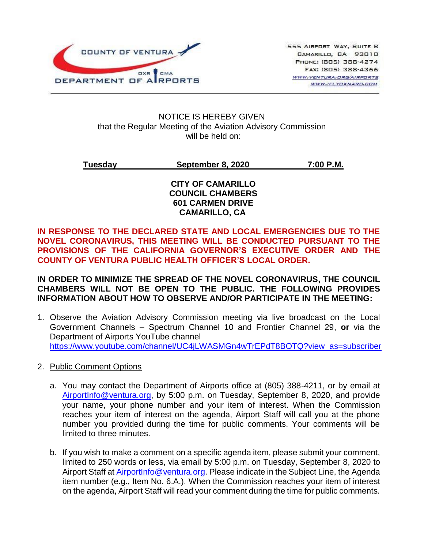

#### NOTICE IS HEREBY GIVEN that the Regular Meeting of the Aviation Advisory Commission will be held on:

**Tuesday September 8, 2020 7:00 P.M.**

**CITY OF CAMARILLO COUNCIL CHAMBERS 601 CARMEN DRIVE CAMARILLO, CA**

**IN RESPONSE TO THE DECLARED STATE AND LOCAL EMERGENCIES DUE TO THE NOVEL CORONAVIRUS, THIS MEETING WILL BE CONDUCTED PURSUANT TO THE PROVISIONS OF THE CALIFORNIA GOVERNOR'S EXECUTIVE ORDER AND THE COUNTY OF VENTURA PUBLIC HEALTH OFFICER'S LOCAL ORDER.**

### **IN ORDER TO MINIMIZE THE SPREAD OF THE NOVEL CORONAVIRUS, THE COUNCIL CHAMBERS WILL NOT BE OPEN TO THE PUBLIC. THE FOLLOWING PROVIDES INFORMATION ABOUT HOW TO OBSERVE AND/OR PARTICIPATE IN THE MEETING:**

- 1. Observe the Aviation Advisory Commission meeting via live broadcast on the Local Government Channels – Spectrum Channel 10 and Frontier Channel 29, **or** via the Department of Airports YouTube channel [https://www.youtube.com/channel/UC4jLWASMGn4wTrEPdT8BOTQ?view\\_as=subscriber](https://www.youtube.com/channel/UC4jLWASMGn4wTrEPdT8BOTQ?view_as=subscriber)
- 2. Public Comment Options
	- a. You may contact the Department of Airports office at (805) 388-4211, or by email at [AirportInfo@ventura.org,](mailto:AirportInfo@ventura.org) by 5:00 p.m. on Tuesday, September 8, 2020, and provide your name, your phone number and your item of interest. When the Commission reaches your item of interest on the agenda, Airport Staff will call you at the phone number you provided during the time for public comments. Your comments will be limited to three minutes.
	- b. If you wish to make a comment on a specific agenda item, please submit your comment, limited to 250 words or less, via email by 5:00 p.m. on Tuesday, September 8, 2020 to Airport Staff at [AirportInfo@ventura.org.](mailto:AirportInfo@ventura.org) Please indicate in the Subject Line, the Agenda item number (e.g., Item No. 6.A.). When the Commission reaches your item of interest on the agenda, Airport Staff will read your comment during the time for public comments.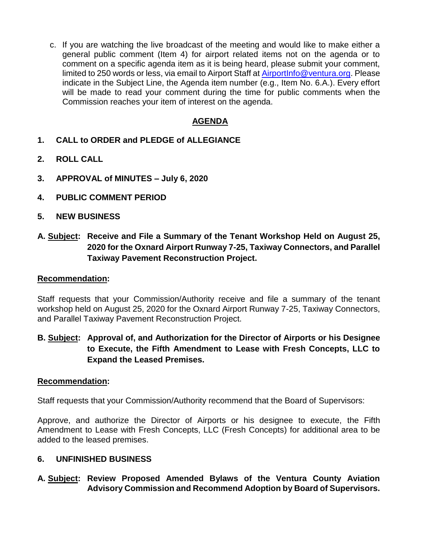c. If you are watching the live broadcast of the meeting and would like to make either a general public comment (Item 4) for airport related items not on the agenda or to comment on a specific agenda item as it is being heard, please submit your comment, limited to 250 words or less, via email to Airport Staff at [AirportInfo@ventura.org.](mailto:AirportInfo@ventura.org) Please indicate in the Subject Line, the Agenda item number (e.g., Item No. 6.A.). Every effort will be made to read your comment during the time for public comments when the Commission reaches your item of interest on the agenda.

## **AGENDA**

- **1. CALL to ORDER and PLEDGE of ALLEGIANCE**
- **2. ROLL CALL**
- **3. APPROVAL of MINUTES – July 6, 2020**
- **4. PUBLIC COMMENT PERIOD**
- **5. NEW BUSINESS**
- **A. Subject: Receive and File a Summary of the Tenant Workshop Held on August 25, 2020 for the Oxnard Airport Runway 7-25, Taxiway Connectors, and Parallel Taxiway Pavement Reconstruction Project.**

#### **Recommendation:**

Staff requests that your Commission/Authority receive and file a summary of the tenant workshop held on August 25, 2020 for the Oxnard Airport Runway 7-25, Taxiway Connectors, and Parallel Taxiway Pavement Reconstruction Project.

# **B. Subject: Approval of, and Authorization for the Director of Airports or his Designee to Execute, the Fifth Amendment to Lease with Fresh Concepts, LLC to Expand the Leased Premises.**

#### **Recommendation:**

Staff requests that your Commission/Authority recommend that the Board of Supervisors:

Approve, and authorize the Director of Airports or his designee to execute, the Fifth Amendment to Lease with Fresh Concepts, LLC (Fresh Concepts) for additional area to be added to the leased premises.

### **6. UNFINISHED BUSINESS**

**A. Subject: Review Proposed Amended Bylaws of the Ventura County Aviation Advisory Commission and Recommend Adoption by Board of Supervisors.**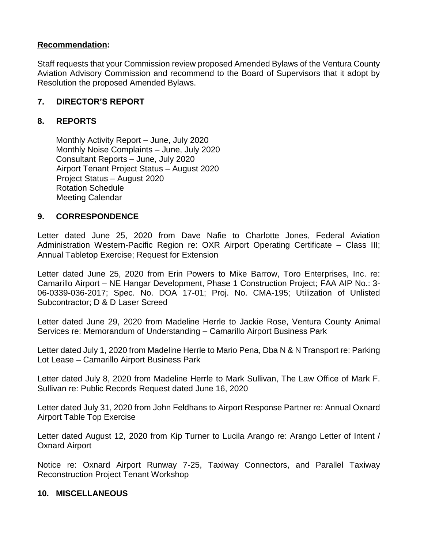## **Recommendation:**

Staff requests that your Commission review proposed Amended Bylaws of the Ventura County Aviation Advisory Commission and recommend to the Board of Supervisors that it adopt by Resolution the proposed Amended Bylaws.

## **7. DIRECTOR'S REPORT**

## **8. REPORTS**

Monthly Activity Report – June, July 2020 Monthly Noise Complaints – June, July 2020 Consultant Reports – June, July 2020 Airport Tenant Project Status – August 2020 Project Status – August 2020 Rotation Schedule Meeting Calendar

### **9. CORRESPONDENCE**

Letter dated June 25, 2020 from Dave Nafie to Charlotte Jones, Federal Aviation Administration Western-Pacific Region re: OXR Airport Operating Certificate – Class III; Annual Tabletop Exercise; Request for Extension

Letter dated June 25, 2020 from Erin Powers to Mike Barrow, Toro Enterprises, Inc. re: Camarillo Airport – NE Hangar Development, Phase 1 Construction Project; FAA AIP No.: 3- 06-0339-036-2017; Spec. No. DOA 17-01; Proj. No. CMA-195; Utilization of Unlisted Subcontractor; D & D Laser Screed

Letter dated June 29, 2020 from Madeline Herrle to Jackie Rose, Ventura County Animal Services re: Memorandum of Understanding – Camarillo Airport Business Park

Letter dated July 1, 2020 from Madeline Herrle to Mario Pena, Dba N & N Transport re: Parking Lot Lease – Camarillo Airport Business Park

Letter dated July 8, 2020 from Madeline Herrle to Mark Sullivan, The Law Office of Mark F. Sullivan re: Public Records Request dated June 16, 2020

Letter dated July 31, 2020 from John Feldhans to Airport Response Partner re: Annual Oxnard Airport Table Top Exercise

Letter dated August 12, 2020 from Kip Turner to Lucila Arango re: Arango Letter of Intent / Oxnard Airport

Notice re: Oxnard Airport Runway 7-25, Taxiway Connectors, and Parallel Taxiway Reconstruction Project Tenant Workshop

### **10. MISCELLANEOUS**